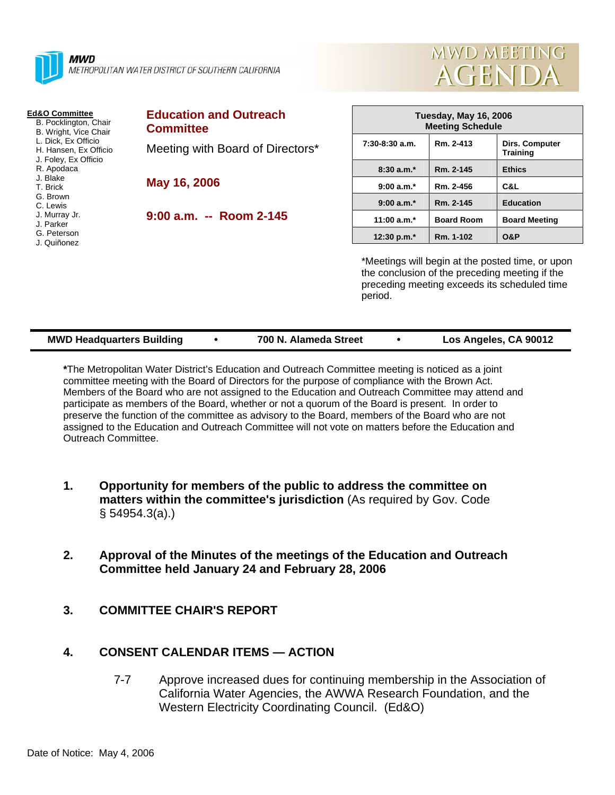

**MWD** METROPOLITAN WATER DISTRICT OF SOUTHERN CALIFORNIA

#### **Ed&O Committee**

- B. Pocklington, Chair B. Wright, Vice Chair
- L. Dick, Ex Officio
- H. Hansen, Ex Officio
- J. Foley, Ex Officio
- R. Apodaca
- J. Blake
- T. Brick
- G. Brown
- C. Lewis J. Murray Jr.
- J. Parker
- G. Peterson
- J. Quiñonez

#### **Education and Outreach Committee**

Meeting with Board of Directors\*

**May 16, 2006** 

**9:00 a.m. -- Room 2-145** 

| Tuesday, May 16, 2006<br><b>Meeting Schedule</b> |                   |                                   |  |  |
|--------------------------------------------------|-------------------|-----------------------------------|--|--|
| $7:30-8:30$ a.m.                                 | Rm. 2-413         | Dirs. Computer<br><b>Training</b> |  |  |
| $8:30a.m.*$                                      | Rm. 2-145         | <b>Ethics</b>                     |  |  |
| $9:00 a.m.*$                                     | Rm. 2-456         | C&L                               |  |  |
| $9:00 a.m.*$                                     | Rm. 2-145         | <b>Education</b>                  |  |  |
| 11:00 $a.m.*$                                    | <b>Board Room</b> | <b>Board Meeting</b>              |  |  |
| 12:30 p.m. $*$                                   | Rm. 1-102         | 0&P                               |  |  |

**MWD MEETING** 

**AGENDA** 

\*Meetings will begin at the posted time, or upon the conclusion of the preceding meeting if the preceding meeting exceeds its scheduled time period.

| <b>MWD Headquarters Building</b> |  | 700 N. Alameda Street |  | Los Angeles, CA 90012 |
|----------------------------------|--|-----------------------|--|-----------------------|
|----------------------------------|--|-----------------------|--|-----------------------|

**\***The Metropolitan Water District's Education and Outreach Committee meeting is noticed as a joint committee meeting with the Board of Directors for the purpose of compliance with the Brown Act. Members of the Board who are not assigned to the Education and Outreach Committee may attend and participate as members of the Board, whether or not a quorum of the Board is present. In order to preserve the function of the committee as advisory to the Board, members of the Board who are not assigned to the Education and Outreach Committee will not vote on matters before the Education and Outreach Committee.

- **1. Opportunity for members of the public to address the committee on matters within the committee's jurisdiction** (As required by Gov. Code § 54954.3(a).)
- **2. Approval of the Minutes of the meetings of the Education and Outreach Committee held January 24 and February 28, 2006**
- **3. COMMITTEE CHAIR'S REPORT**

# **4. CONSENT CALENDAR ITEMS — ACTION**

7-7 Approve increased dues for continuing membership in the Association of California Water Agencies, the AWWA Research Foundation, and the Western Electricity Coordinating Council. (Ed&O)